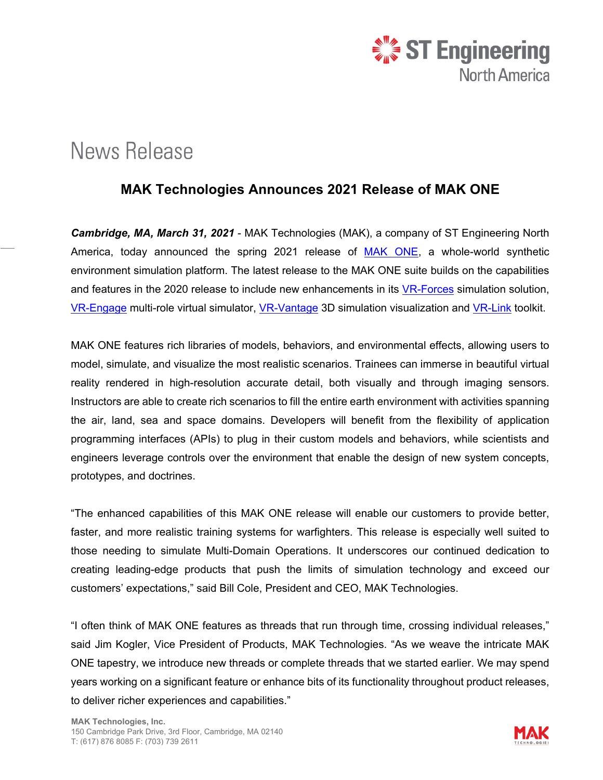

## **News Release**

## **MAK Technologies Announces 2021 Release of MAK ONE**

*Cambridge, MA, March 31, 2021* - MAK Technologies (MAK), a company of ST Engineering North America, today announced the spring 2021 release of [MAK ONE,](https://www.mak.com/products/mak-one/) a whole-world synthetic environment simulation platform. The latest release to the MAK ONE suite builds on the capabilities and features in the 2020 release to include new enhancements in its [VR-Forces](https://www.mak.com/products/simulate/vr-forces) simulation solution, [VR-Engage](https://www.mak.com/products/simulate/vr-engage) multi-role virtual simulator, [VR-Vantage](https://www.mak.com/products/visualize/vr-vantage-stealth) 3D simulation visualization and [VR-Link](https://www.mak.com/products/link/vr-link) toolkit.

MAK ONE features rich libraries of models, behaviors, and environmental effects, allowing users to model, simulate, and visualize the most realistic scenarios. Trainees can immerse in beautiful virtual reality rendered in high-resolution accurate detail, both visually and through imaging sensors. Instructors are able to create rich scenarios to fill the entire earth environment with activities spanning the air, land, sea and space domains. Developers will benefit from the flexibility of application programming interfaces (APIs) to plug in their custom models and behaviors, while scientists and engineers leverage controls over the environment that enable the design of new system concepts, prototypes, and doctrines.

"The enhanced capabilities of this MAK ONE release will enable our customers to provide better, faster, and more realistic training systems for warfighters. This release is especially well suited to those needing to simulate Multi-Domain Operations. It underscores our continued dedication to creating leading-edge products that push the limits of simulation technology and exceed our customers' expectations," said Bill Cole, President and CEO, MAK Technologies.

"I often think of MAK ONE features as threads that run through time, crossing individual releases," said Jim Kogler, Vice President of Products, MAK Technologies. "As we weave the intricate MAK ONE tapestry, we introduce new threads or complete threads that we started earlier. We may spend years working on a significant feature or enhance bits of its functionality throughout product releases, to deliver richer experiences and capabilities."

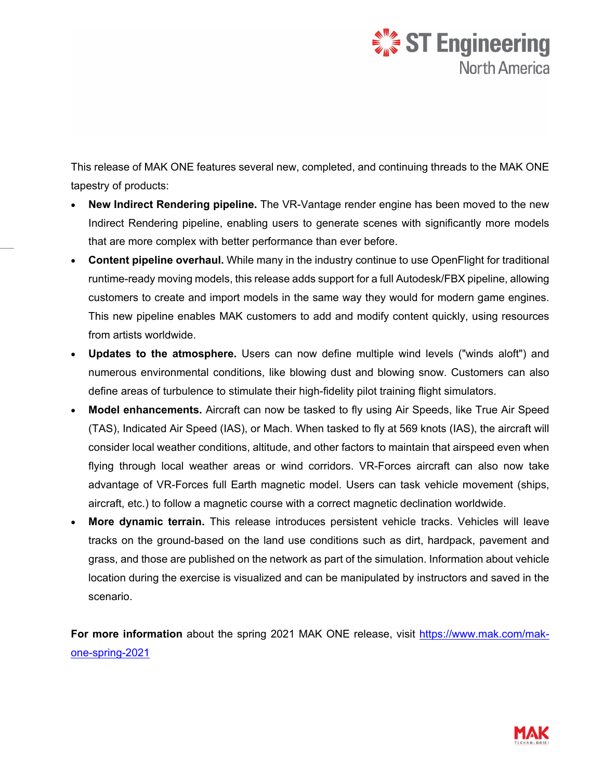

This release of MAK ONE features several new, completed, and continuing threads to the MAK ONE tapestry of products:

- **New Indirect Rendering pipeline.** The VR-Vantage render engine has been moved to the new Indirect Rendering pipeline, enabling users to generate scenes with significantly more models that are more complex with better performance than ever before.
- **Content pipeline overhaul.** While many in the industry continue to use OpenFlight for traditional runtime-ready moving models, this release adds support for a full Autodesk/FBX pipeline, allowing customers to create and import models in the same way they would for modern game engines. This new pipeline enables MAK customers to add and modify content quickly, using resources from artists worldwide.
- **Updates to the atmosphere.** Users can now define multiple wind levels ("winds aloft") and numerous environmental conditions, like blowing dust and blowing snow. Customers can also define areas of turbulence to stimulate their high-fidelity pilot training flight simulators.
- **Model enhancements.** Aircraft can now be tasked to fly using Air Speeds, like True Air Speed (TAS), Indicated Air Speed (IAS), or Mach. When tasked to fly at 569 knots (IAS), the aircraft will consider local weather conditions, altitude, and other factors to maintain that airspeed even when flying through local weather areas or wind corridors. VR-Forces aircraft can also now take advantage of VR-Forces full Earth magnetic model. Users can task vehicle movement (ships, aircraft, etc.) to follow a magnetic course with a correct magnetic declination worldwide.
- **More dynamic terrain.** This release introduces persistent vehicle tracks. Vehicles will leave tracks on the ground-based on the land use conditions such as dirt, hardpack, pavement and grass, and those are published on the network as part of the simulation. Information about vehicle location during the exercise is visualized and can be manipulated by instructors and saved in the scenario.

**For more information** about the spring 2021 MAK ONE release, visit [https://www.mak.com/mak](https://www.mak.com/mak-one-spring-2021)[one-spring-2021](https://www.mak.com/mak-one-spring-2021)